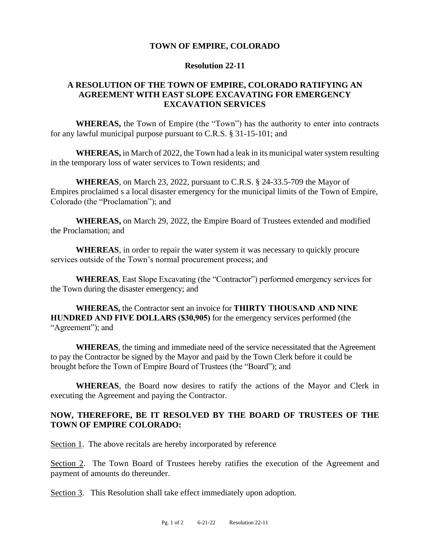#### **TOWN OF EMPIRE, COLORADO**

#### **Resolution 22-11**

# **A RESOLUTION OF THE TOWN OF EMPIRE, COLORADO RATIFYING AN AGREEMENT WITH EAST SLOPE EXCAVATING FOR EMERGENCY EXCAVATION SERVICES**

**WHEREAS,** the Town of Empire (the "Town") has the authority to enter into contracts for any lawful municipal purpose pursuant to C.R.S. § 31-15-101; and

**WHEREAS,** in March of 2022, the Town had a leak in its municipal water system resulting in the temporary loss of water services to Town residents; and

**WHEREAS**, on March 23, 2022, pursuant to C.R.S. § 24-33.5-709 the Mayor of Empires proclaimed s a local disaster emergency for the municipal limits of the Town of Empire, Colorado (the "Proclamation"); and

**WHEREAS,** on March 29, 2022, the Empire Board of Trustees extended and modified the Proclamation; and

**WHEREAS**, in order to repair the water system it was necessary to quickly procure services outside of the Town's normal procurement process; and

**WHEREAS**, East Slope Excavating (the "Contractor") performed emergency services for the Town during the disaster emergency; and

**WHEREAS,** the Contractor sent an invoice for **THIRTY THOUSAND AND NINE HUNDRED AND FIVE DOLLARS (\$30,905)** for the emergency services performed (the "Agreement"); and

**WHEREAS**, the timing and immediate need of the service necessitated that the Agreement to pay the Contractor be signed by the Mayor and paid by the Town Clerk before it could be brought before the Town of Empire Board of Trustees (the "Board"); and

**WHEREAS**, the Board now desires to ratify the actions of the Mayor and Clerk in executing the Agreement and paying the Contractor.

# **NOW, THEREFORE, BE IT RESOLVED BY THE BOARD OF TRUSTEES OF THE TOWN OF EMPIRE COLORADO:**

Section 1. The above recitals are hereby incorporated by reference

Section 2. The Town Board of Trustees hereby ratifies the execution of the Agreement and payment of amounts do thereunder.

Section 3. This Resolution shall take effect immediately upon adoption.